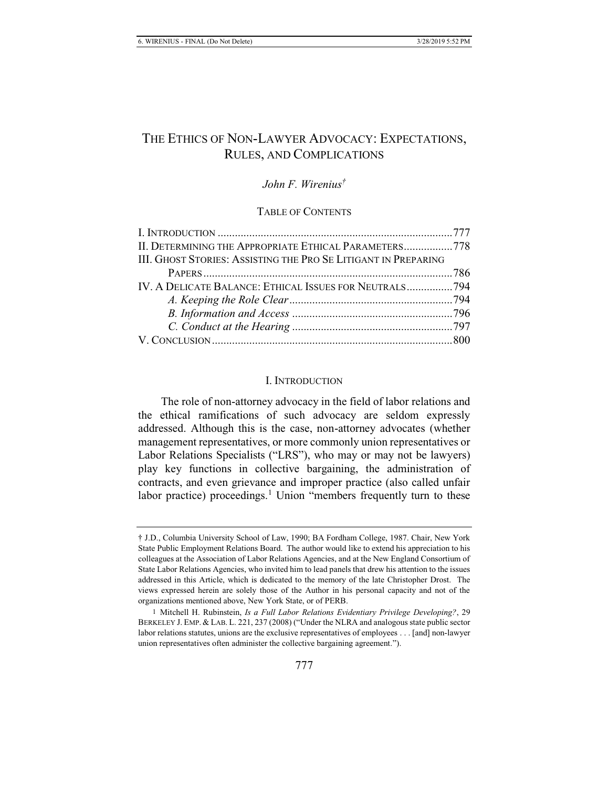# THE ETHICS OF NON-LAWYER ADVOCACY: EXPECTATIONS, RULES, AND COMPLICATIONS

### *John F. Wirenius†*

### TABLE OF CONTENTS

| II. DETERMINING THE APPROPRIATE ETHICAL PARAMETERS778          |  |
|----------------------------------------------------------------|--|
| III. GHOST STORIES: ASSISTING THE PRO SE LITIGANT IN PREPARING |  |
|                                                                |  |
|                                                                |  |
|                                                                |  |
|                                                                |  |
|                                                                |  |
|                                                                |  |
|                                                                |  |

#### I. INTRODUCTION

The role of non-attorney advocacy in the field of labor relations and the ethical ramifications of such advocacy are seldom expressly addressed. Although this is the case, non-attorney advocates (whether management representatives, or more commonly union representatives or Labor Relations Specialists ("LRS"), who may or may not be lawyers) play key functions in collective bargaining, the administration of contracts, and even grievance and improper practice (also called unfair labor practice) proceedings.<sup>1</sup> Union "members frequently turn to these

<sup>†</sup> J.D., Columbia University School of Law, 1990; BA Fordham College, 1987. Chair, New York State Public Employment Relations Board. The author would like to extend his appreciation to his colleagues at the Association of Labor Relations Agencies, and at the New England Consortium of State Labor Relations Agencies, who invited him to lead panels that drew his attention to the issues addressed in this Article, which is dedicated to the memory of the late Christopher Drost. The views expressed herein are solely those of the Author in his personal capacity and not of the organizations mentioned above, New York State, or of PERB.

<sup>1</sup> Mitchell H. Rubinstein, *Is a Full Labor Relations Evidentiary Privilege Developing?*, 29 BERKELEY J. EMP. & LAB. L. 221, 237 (2008) ("Under the NLRA and analogous state public sector labor relations statutes, unions are the exclusive representatives of employees . . . [and] non-lawyer union representatives often administer the collective bargaining agreement.").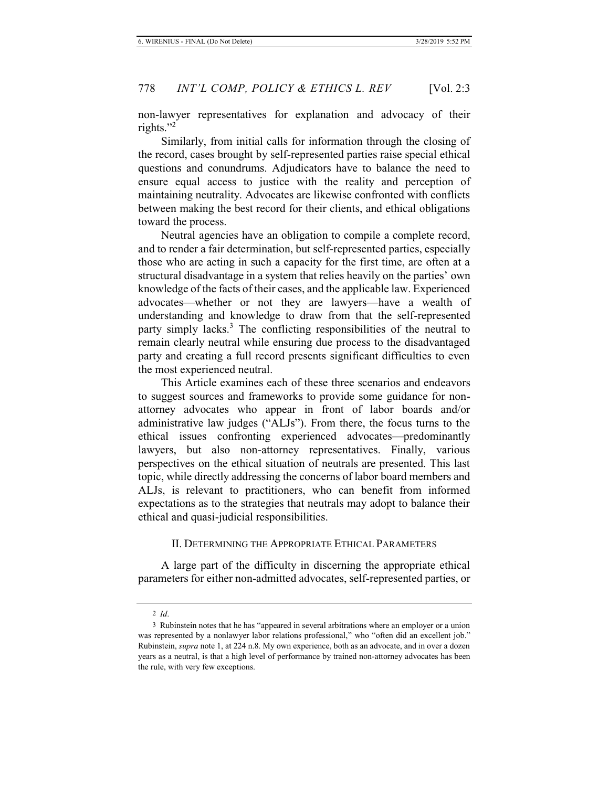non-lawyer representatives for explanation and advocacy of their rights."<sup>2</sup>

Similarly, from initial calls for information through the closing of the record, cases brought by self-represented parties raise special ethical questions and conundrums. Adjudicators have to balance the need to ensure equal access to justice with the reality and perception of maintaining neutrality. Advocates are likewise confronted with conflicts between making the best record for their clients, and ethical obligations toward the process.

Neutral agencies have an obligation to compile a complete record, and to render a fair determination, but self-represented parties, especially those who are acting in such a capacity for the first time, are often at a structural disadvantage in a system that relies heavily on the parties' own knowledge of the facts of their cases, and the applicable law. Experienced advocates—whether or not they are lawyers—have a wealth of understanding and knowledge to draw from that the self-represented party simply lacks.<sup>3</sup> The conflicting responsibilities of the neutral to remain clearly neutral while ensuring due process to the disadvantaged party and creating a full record presents significant difficulties to even the most experienced neutral.

This Article examines each of these three scenarios and endeavors to suggest sources and frameworks to provide some guidance for nonattorney advocates who appear in front of labor boards and/or administrative law judges ("ALJs"). From there, the focus turns to the ethical issues confronting experienced advocates—predominantly lawyers, but also non-attorney representatives. Finally, various perspectives on the ethical situation of neutrals are presented. This last topic, while directly addressing the concerns of labor board members and ALJs, is relevant to practitioners, who can benefit from informed expectations as to the strategies that neutrals may adopt to balance their ethical and quasi-judicial responsibilities.

#### II. DETERMINING THE APPROPRIATE ETHICAL PARAMETERS

A large part of the difficulty in discerning the appropriate ethical parameters for either non-admitted advocates, self-represented parties, or

<sup>2</sup> *Id*.

<sup>3</sup> Rubinstein notes that he has "appeared in several arbitrations where an employer or a union was represented by a nonlawyer labor relations professional," who "often did an excellent job." Rubinstein, *supra* note 1, at 224 n.8. My own experience, both as an advocate, and in over a dozen years as a neutral, is that a high level of performance by trained non-attorney advocates has been the rule, with very few exceptions.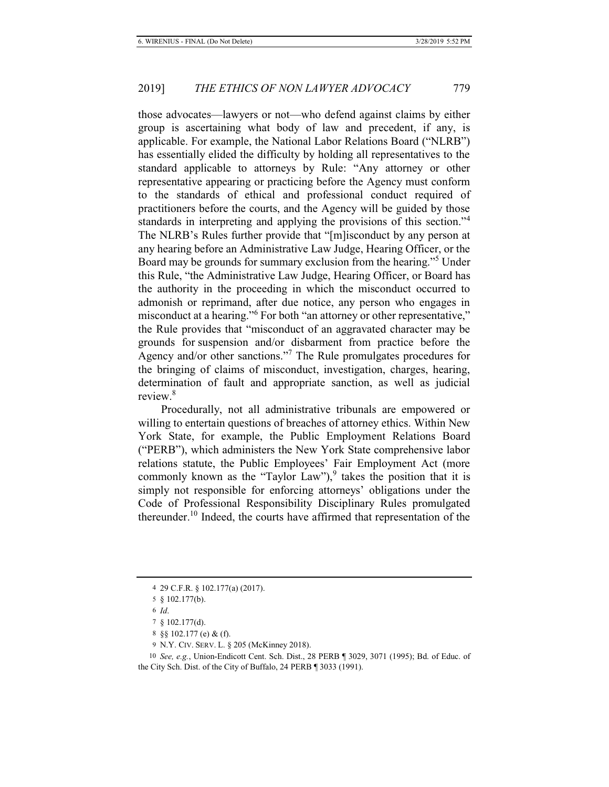those advocates—lawyers or not—who defend against claims by either group is ascertaining what body of law and precedent, if any, is applicable. For example, the National Labor Relations Board ("NLRB") has essentially elided the difficulty by holding all representatives to the standard applicable to attorneys by Rule: "Any attorney or other representative appearing or practicing before the Agency must conform to the standards of ethical and professional conduct required of practitioners before the courts, and the Agency will be guided by those standards in interpreting and applying the provisions of this section."<sup>4</sup> The NLRB's Rules further provide that "[m]isconduct by any person at any hearing before an Administrative Law Judge, Hearing Officer, or the Board may be grounds for summary exclusion from the hearing."<sup>5</sup> Under this Rule, "the Administrative Law Judge, Hearing Officer, or Board has the authority in the proceeding in which the misconduct occurred to admonish or reprimand, after due notice, any person who engages in misconduct at a hearing."<sup>6</sup> For both "an attorney or other representative," the Rule provides that "misconduct of an aggravated character may be grounds for suspension and/or disbarment from practice before the Agency and/or other sanctions."<sup>7</sup> The Rule promulgates procedures for the bringing of claims of misconduct, investigation, charges, hearing, determination of fault and appropriate sanction, as well as judicial review.<sup>8</sup>

Procedurally, not all administrative tribunals are empowered or willing to entertain questions of breaches of attorney ethics. Within New York State, for example, the Public Employment Relations Board ("PERB"), which administers the New York State comprehensive labor relations statute, the Public Employees' Fair Employment Act (more commonly known as the "Taylor Law"),  $\frac{9}{3}$  takes the position that it is simply not responsible for enforcing attorneys' obligations under the Code of Professional Responsibility Disciplinary Rules promulgated thereunder.<sup>10</sup> Indeed, the courts have affirmed that representation of the

<sup>4 29</sup> C.F.R. § 102.177(a) (2017).

<sup>5 § 102.177(</sup>b).

<sup>6</sup> *Id*.

<sup>7 § 102.177(</sup>d).

<sup>8 §§ 102.177 (</sup>e) & (f).

<sup>9</sup> N.Y. CIV. SERV. L. § 205 (McKinney 2018).

<sup>10</sup> *See, e.g.*, Union-Endicott Cent. Sch. Dist., 28 PERB ¶ 3029, 3071 (1995); Bd. of Educ. of the City Sch. Dist. of the City of Buffalo, 24 PERB ¶ 3033 (1991).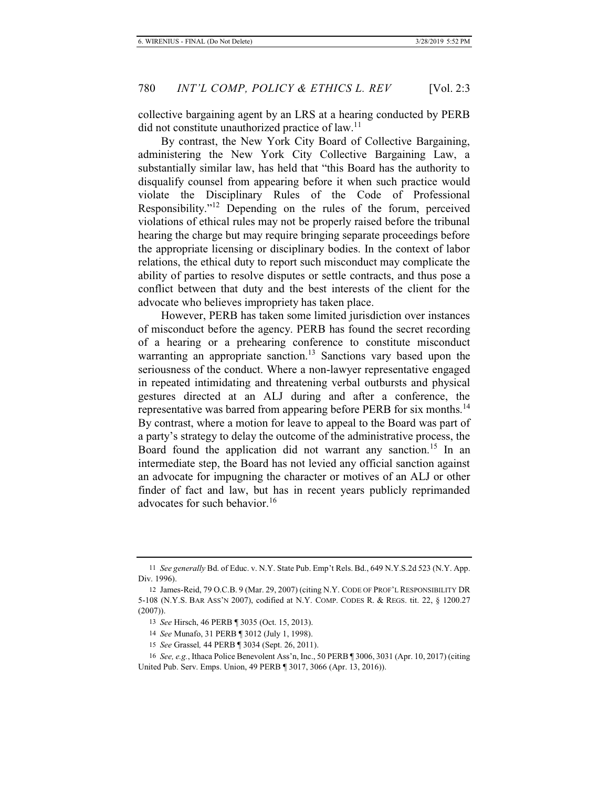collective bargaining agent by an LRS at a hearing conducted by PERB did not constitute unauthorized practice of law.<sup>11</sup>

By contrast, the New York City Board of Collective Bargaining, administering the New York City Collective Bargaining Law, a substantially similar law, has held that "this Board has the authority to disqualify counsel from appearing before it when such practice would violate the Disciplinary Rules of the Code of Professional Responsibility."12 Depending on the rules of the forum, perceived violations of ethical rules may not be properly raised before the tribunal hearing the charge but may require bringing separate proceedings before the appropriate licensing or disciplinary bodies. In the context of labor relations, the ethical duty to report such misconduct may complicate the ability of parties to resolve disputes or settle contracts, and thus pose a conflict between that duty and the best interests of the client for the advocate who believes impropriety has taken place.

However, PERB has taken some limited jurisdiction over instances of misconduct before the agency. PERB has found the secret recording of a hearing or a prehearing conference to constitute misconduct warranting an appropriate sanction.<sup>13</sup> Sanctions vary based upon the seriousness of the conduct. Where a non-lawyer representative engaged in repeated intimidating and threatening verbal outbursts and physical gestures directed at an ALJ during and after a conference, the representative was barred from appearing before PERB for six months.<sup>14</sup> By contrast, where a motion for leave to appeal to the Board was part of a party's strategy to delay the outcome of the administrative process, the Board found the application did not warrant any sanction.<sup>15</sup> In an intermediate step, the Board has not levied any official sanction against an advocate for impugning the character or motives of an ALJ or other finder of fact and law, but has in recent years publicly reprimanded advocates for such behavior.<sup>16</sup>

<sup>11</sup> *See generally* Bd. of Educ. v. N.Y. State Pub. Emp't Rels. Bd., 649 N.Y.S.2d 523 (N.Y. App. Div. 1996).

<sup>12</sup> James-Reid, 79 O.C.B. 9 (Mar. 29, 2007) (citing N.Y. CODE OF PROF'L RESPONSIBILITY DR 5-108 (N.Y.S. BAR ASS'N 2007), codified at N.Y. COMP. CODES R. & REGS. tit. 22, § 1200.27 (2007)).

<sup>13</sup> *See* Hirsch, 46 PERB ¶ 3035 (Oct. 15, 2013).

<sup>14</sup> *See* Munafo, 31 PERB ¶ 3012 (July 1, 1998).

<sup>15</sup> *See* Grassel*,* 44 PERB ¶ 3034 (Sept. 26, 2011).

<sup>16</sup> *See, e.g.*, Ithaca Police Benevolent Ass'n, Inc., 50 PERB ¶ 3006, 3031 (Apr. 10, 2017) (citing United Pub. Serv. Emps. Union, 49 PERB ¶ 3017, 3066 (Apr. 13, 2016)).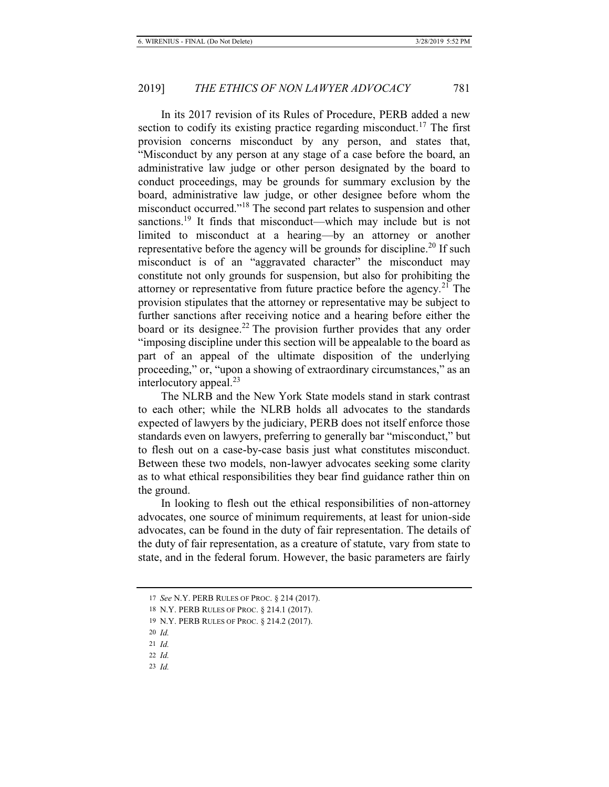In its 2017 revision of its Rules of Procedure, PERB added a new section to codify its existing practice regarding misconduct.<sup>17</sup> The first provision concerns misconduct by any person, and states that, "Misconduct by any person at any stage of a case before the board, an administrative law judge or other person designated by the board to conduct proceedings, may be grounds for summary exclusion by the board, administrative law judge, or other designee before whom the misconduct occurred."18 The second part relates to suspension and other sanctions.<sup>19</sup> It finds that misconduct—which may include but is not limited to misconduct at a hearing—by an attorney or another representative before the agency will be grounds for discipline.<sup>20</sup> If such misconduct is of an "aggravated character" the misconduct may constitute not only grounds for suspension, but also for prohibiting the attorney or representative from future practice before the agency.<sup>21</sup> The provision stipulates that the attorney or representative may be subject to further sanctions after receiving notice and a hearing before either the board or its designee.<sup>22</sup> The provision further provides that any order "imposing discipline under this section will be appealable to the board as part of an appeal of the ultimate disposition of the underlying proceeding," or, "upon a showing of extraordinary circumstances," as an interlocutory appeal.<sup>23</sup>

The NLRB and the New York State models stand in stark contrast to each other; while the NLRB holds all advocates to the standards expected of lawyers by the judiciary, PERB does not itself enforce those standards even on lawyers, preferring to generally bar "misconduct," but to flesh out on a case-by-case basis just what constitutes misconduct. Between these two models, non-lawyer advocates seeking some clarity as to what ethical responsibilities they bear find guidance rather thin on the ground.

In looking to flesh out the ethical responsibilities of non-attorney advocates, one source of minimum requirements, at least for union-side advocates, can be found in the duty of fair representation. The details of the duty of fair representation, as a creature of statute, vary from state to state, and in the federal forum. However, the basic parameters are fairly

23 *Id.*

<sup>17</sup> *See* N.Y. PERB RULES OF PROC. § 214 (2017).

<sup>18</sup> N.Y. PERB RULES OF PROC. § 214.1 (2017).

<sup>19</sup> N.Y. PERB RULES OF PROC. § 214.2 (2017).

<sup>20</sup> *Id.*

<sup>21</sup> *Id.*

<sup>22</sup> *Id.*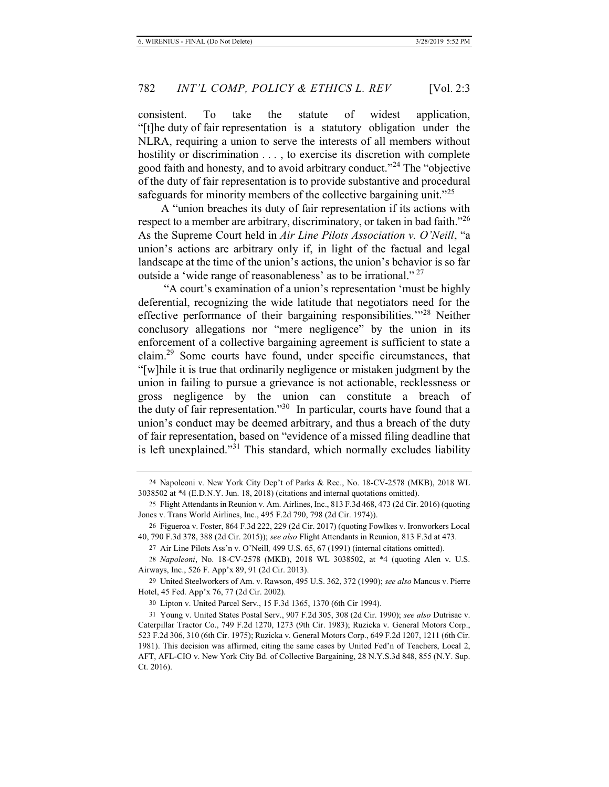consistent. To take the statute of widest application, "[t]he duty of fair representation is a statutory obligation under the NLRA, requiring a union to serve the interests of all members without hostility or discrimination . . . , to exercise its discretion with complete good faith and honesty, and to avoid arbitrary conduct."<sup>24</sup> The "objective" of the duty of fair representation is to provide substantive and procedural safeguards for minority members of the collective bargaining unit."<sup>25</sup>

A "union breaches its duty of fair representation if its actions with respect to a member are arbitrary, discriminatory, or taken in bad faith.<sup>"26</sup> As the Supreme Court held in *Air Line Pilots Association v. O'Neill*, "a union's actions are arbitrary only if, in light of the factual and legal landscape at the time of the union's actions, the union's behavior is so far outside a 'wide range of reasonableness' as to be irrational."<sup>27</sup>

"A court's examination of a union's representation 'must be highly deferential, recognizing the wide latitude that negotiators need for the effective performance of their bargaining responsibilities.'"28 Neither conclusory allegations nor "mere negligence" by the union in its enforcement of a collective bargaining agreement is sufficient to state a claim.29 Some courts have found, under specific circumstances, that "[w]hile it is true that ordinarily negligence or mistaken judgment by the union in failing to pursue a grievance is not actionable, recklessness or gross negligence by the union can constitute a breach of the duty of fair representation."30 In particular, courts have found that a union's conduct may be deemed arbitrary, and thus a breach of the duty of fair representation, based on "evidence of a missed filing deadline that is left unexplained."<sup>31</sup> This standard, which normally excludes liability

27 Air Line Pilots Ass'n v. O'Neill*,* 499 U.S. 65, 67 (1991) (internal citations omitted).

29 United Steelworkers of Am. v. Rawson, 495 U.S. 362, 372 (1990); *see also* Mancus v. Pierre Hotel, 45 Fed. App'x 76, 77 (2d Cir. 2002).

30 Lipton v. United Parcel Serv., 15 F.3d 1365, 1370 (6th Cir 1994).

<sup>24</sup> Napoleoni v. New York City Dep't of Parks & Rec., No. 18-CV-2578 (MKB), 2018 WL 3038502 at \*4 (E.D.N.Y. Jun. 18, 2018) (citations and internal quotations omitted).

<sup>25</sup> Flight Attendants in Reunion v. Am. Airlines, Inc., 813 F.3d 468, 473 (2d Cir. 2016) (quoting Jones v. Trans World Airlines, Inc., 495 F.2d 790, 798 (2d Cir. 1974)).

<sup>26</sup> Figueroa v. Foster, 864 F.3d 222, 229 (2d Cir. 2017) (quoting Fowlkes v. Ironworkers Local 40, 790 F.3d 378, 388 (2d Cir. 2015)); *see also* Flight Attendants in Reunion, 813 F.3d at 473.

<sup>28</sup> *Napoleoni*, No. 18-CV-2578 (MKB), 2018 WL 3038502, at \*4 (quoting Alen v. U.S. Airways, Inc., 526 F. App'x 89, 91 (2d Cir. 2013).

<sup>31</sup> Young v. United States Postal Serv., 907 F.2d 305, 308 (2d Cir. 1990); *see also* Dutrisac v. Caterpillar Tractor Co., 749 F.2d 1270, 1273 (9th Cir. 1983); Ruzicka v. General Motors Corp., 523 F.2d 306, 310 (6th Cir. 1975); Ruzicka v. General Motors Corp., 649 F.2d 1207, 1211 (6th Cir. 1981). This decision was affirmed, citing the same cases by United Fed'n of Teachers, Local 2, AFT, AFL-CIO v. New York City Bd. of Collective Bargaining, 28 N.Y.S.3d 848, 855 (N.Y. Sup. Ct. 2016).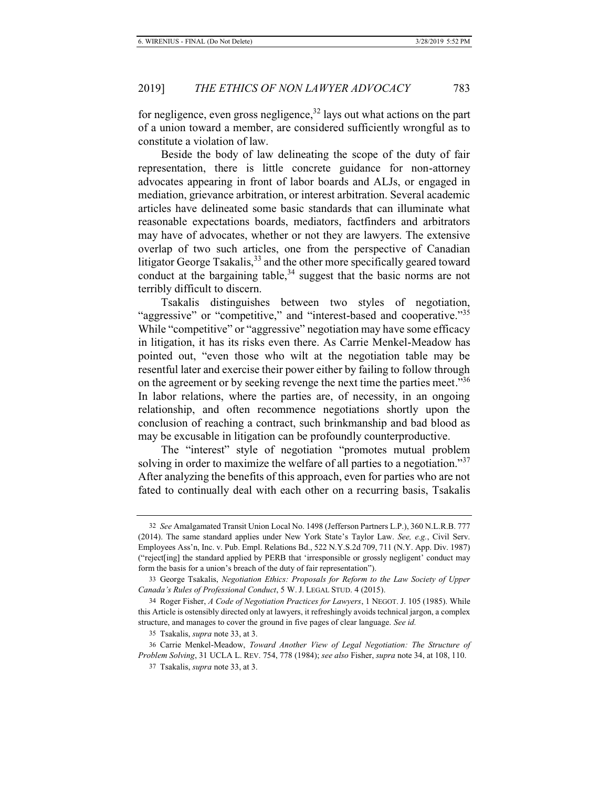for negligence, even gross negligence,  $32 \text{ lays out what actions on the part}$ of a union toward a member, are considered sufficiently wrongful as to constitute a violation of law.

Beside the body of law delineating the scope of the duty of fair representation, there is little concrete guidance for non-attorney advocates appearing in front of labor boards and ALJs, or engaged in mediation, grievance arbitration, or interest arbitration. Several academic articles have delineated some basic standards that can illuminate what reasonable expectations boards, mediators, factfinders and arbitrators may have of advocates, whether or not they are lawyers. The extensive overlap of two such articles, one from the perspective of Canadian litigator George Tsakalis,  $33$  and the other more specifically geared toward conduct at the bargaining table,  $34$  suggest that the basic norms are not terribly difficult to discern.

Tsakalis distinguishes between two styles of negotiation, "aggressive" or "competitive," and "interest-based and cooperative."<sup>35</sup> While "competitive" or "aggressive" negotiation may have some efficacy in litigation, it has its risks even there. As Carrie Menkel-Meadow has pointed out, "even those who wilt at the negotiation table may be resentful later and exercise their power either by failing to follow through on the agreement or by seeking revenge the next time the parties meet."<sup>36</sup> In labor relations, where the parties are, of necessity, in an ongoing relationship, and often recommence negotiations shortly upon the conclusion of reaching a contract, such brinkmanship and bad blood as may be excusable in litigation can be profoundly counterproductive.

The "interest" style of negotiation "promotes mutual problem solving in order to maximize the welfare of all parties to a negotiation."<sup>37</sup> After analyzing the benefits of this approach, even for parties who are not fated to continually deal with each other on a recurring basis, Tsakalis

<sup>32</sup> *See* Amalgamated Transit Union Local No. 1498 (Jefferson Partners L.P.), 360 N.L.R.B. 777 (2014). The same standard applies under New York State's Taylor Law. *See, e.g.*, Civil Serv. Employees Ass'n, Inc. v. Pub. Empl. Relations Bd., 522 N.Y.S.2d 709, 711 (N.Y. App. Div. 1987) ("reject[ing] the standard applied by PERB that 'irresponsible or grossly negligent' conduct may form the basis for a union's breach of the duty of fair representation").

<sup>33</sup> George Tsakalis, *Negotiation Ethics: Proposals for Reform to the Law Society of Upper Canada's Rules of Professional Conduct*, 5 W. J. LEGAL STUD. 4 (2015).

<sup>34</sup> Roger Fisher, *A Code of Negotiation Practices for Lawyers*, 1 NEGOT. J. 105 (1985). While this Article is ostensibly directed only at lawyers, it refreshingly avoids technical jargon, a complex structure, and manages to cover the ground in five pages of clear language. *See id.* 

<sup>35</sup> Tsakalis, *supra* note 33, at 3.

<sup>36</sup> Carrie Menkel-Meadow, *Toward Another View of Legal Negotiation: The Structure of Problem Solving*, 31 UCLA L. REV. 754, 778 (1984); *see also* Fisher, *supra* note 34, at 108, 110.

<sup>37</sup> Tsakalis, *supra* note 33, at 3.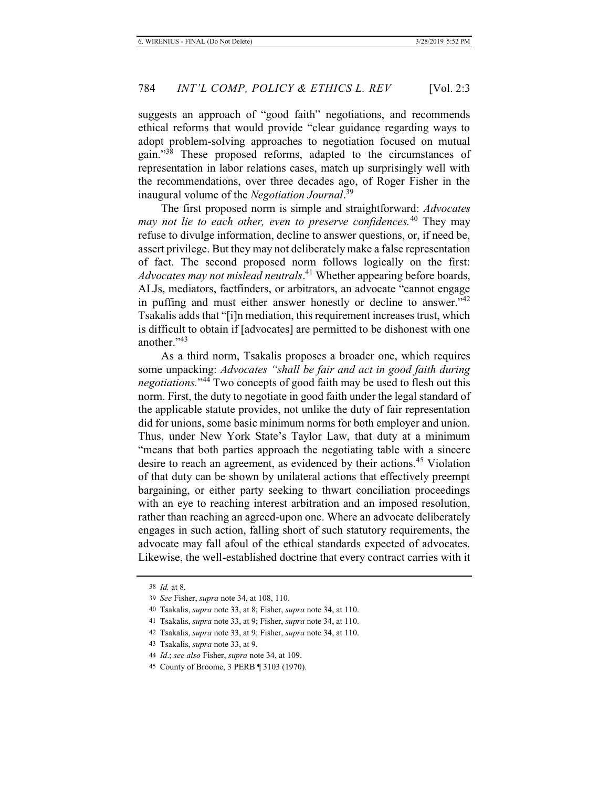suggests an approach of "good faith" negotiations, and recommends ethical reforms that would provide "clear guidance regarding ways to adopt problem-solving approaches to negotiation focused on mutual gain."38 These proposed reforms, adapted to the circumstances of representation in labor relations cases, match up surprisingly well with the recommendations, over three decades ago, of Roger Fisher in the inaugural volume of the *Negotiation Journal*. 39

The first proposed norm is simple and straightforward: *Advocates may not lie to each other, even to preserve confidences.*40 They may refuse to divulge information, decline to answer questions, or, if need be, assert privilege. But they may not deliberately make a false representation of fact. The second proposed norm follows logically on the first: *Advocates may not mislead neutrals*. 41 Whether appearing before boards, ALJs, mediators, factfinders, or arbitrators, an advocate "cannot engage in puffing and must either answer honestly or decline to answer." $42$ Tsakalis adds that "[i]n mediation, this requirement increases trust, which is difficult to obtain if [advocates] are permitted to be dishonest with one another."<sup>43</sup>

As a third norm, Tsakalis proposes a broader one, which requires some unpacking: *Advocates "shall be fair and act in good faith during negotiations.*"44 Two concepts of good faith may be used to flesh out this norm. First, the duty to negotiate in good faith under the legal standard of the applicable statute provides, not unlike the duty of fair representation did for unions, some basic minimum norms for both employer and union. Thus, under New York State's Taylor Law, that duty at a minimum "means that both parties approach the negotiating table with a sincere desire to reach an agreement, as evidenced by their actions.<sup>45</sup> Violation of that duty can be shown by unilateral actions that effectively preempt bargaining, or either party seeking to thwart conciliation proceedings with an eye to reaching interest arbitration and an imposed resolution, rather than reaching an agreed-upon one. Where an advocate deliberately engages in such action, falling short of such statutory requirements, the advocate may fall afoul of the ethical standards expected of advocates. Likewise, the well-established doctrine that every contract carries with it

<sup>38</sup> *Id.* at 8.

<sup>39</sup> *See* Fisher, *supra* note 34, at 108, 110.

<sup>40</sup> Tsakalis, *supra* note 33, at 8; Fisher, *supra* note 34, at 110.

<sup>41</sup> Tsakalis, *supra* note 33, at 9; Fisher, *supra* note 34, at 110.

<sup>42</sup> Tsakalis, *supra* note 33, at 9; Fisher, *supra* note 34, at 110.

<sup>43</sup> Tsakalis, *supra* note 33, at 9.

<sup>44</sup> *Id*.; *see also* Fisher, *supra* note 34, at 109.

<sup>45</sup> County of Broome, 3 PERB ¶ 3103 (1970).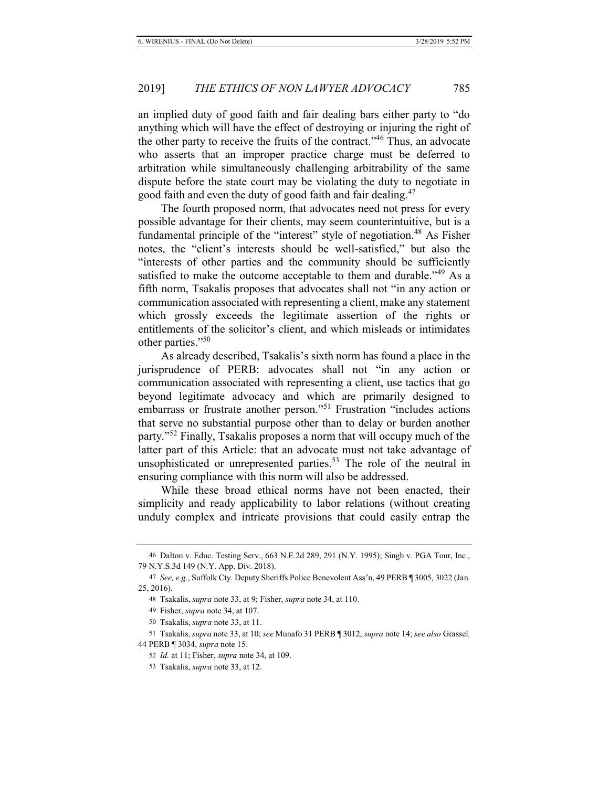an implied duty of good faith and fair dealing bars either party to "do anything which will have the effect of destroying or injuring the right of the other party to receive the fruits of the contract."<sup>46</sup> Thus, an advocate who asserts that an improper practice charge must be deferred to arbitration while simultaneously challenging arbitrability of the same dispute before the state court may be violating the duty to negotiate in good faith and even the duty of good faith and fair dealing.<sup>47</sup>

The fourth proposed norm, that advocates need not press for every possible advantage for their clients, may seem counterintuitive, but is a fundamental principle of the "interest" style of negotiation.<sup>48</sup> As Fisher notes, the "client's interests should be well-satisfied," but also the "interests of other parties and the community should be sufficiently satisfied to make the outcome acceptable to them and durable.<sup>149</sup> As a fifth norm, Tsakalis proposes that advocates shall not "in any action or communication associated with representing a client, make any statement which grossly exceeds the legitimate assertion of the rights or entitlements of the solicitor's client, and which misleads or intimidates other parties."<sup>50</sup>

As already described, Tsakalis's sixth norm has found a place in the jurisprudence of PERB: advocates shall not "in any action or communication associated with representing a client, use tactics that go beyond legitimate advocacy and which are primarily designed to embarrass or frustrate another person."<sup>51</sup> Frustration "includes actions" that serve no substantial purpose other than to delay or burden another party."<sup>52</sup> Finally, Tsakalis proposes a norm that will occupy much of the latter part of this Article: that an advocate must not take advantage of unsophisticated or unrepresented parties.<sup>53</sup> The role of the neutral in ensuring compliance with this norm will also be addressed.

While these broad ethical norms have not been enacted, their simplicity and ready applicability to labor relations (without creating unduly complex and intricate provisions that could easily entrap the

<sup>46</sup> Dalton v. Educ. Testing Serv., 663 N.E.2d 289, 291 (N.Y. 1995); Singh v. PGA Tour, Inc., 79 N.Y.S.3d 149 (N.Y. App. Div. 2018).

<sup>47</sup> *See, e.g.*, Suffolk Cty. Deputy Sheriffs Police Benevolent Ass'n, 49 PERB ¶ 3005, 3022 (Jan. 25, 2016).

<sup>48</sup> Tsakalis, *supra* note 33, at 9; Fisher, *supra* note 34, at 110.

<sup>49</sup> Fisher, *supra* note 34, at 107.

<sup>50</sup> Tsakalis, *supra* note 33, at 11.

<sup>51</sup> Tsakalis, *supra* note 33, at 10; *see* Munafo 31 PERB ¶ 3012, *supra* note 14; *see also* Grassel*,*  44 PERB ¶ 3034, *supra* note 15.

<sup>52</sup> *Id.* at 11; Fisher, *supra* note 34, at 109.

<sup>53</sup> Tsakalis, *supra* note 33, at 12.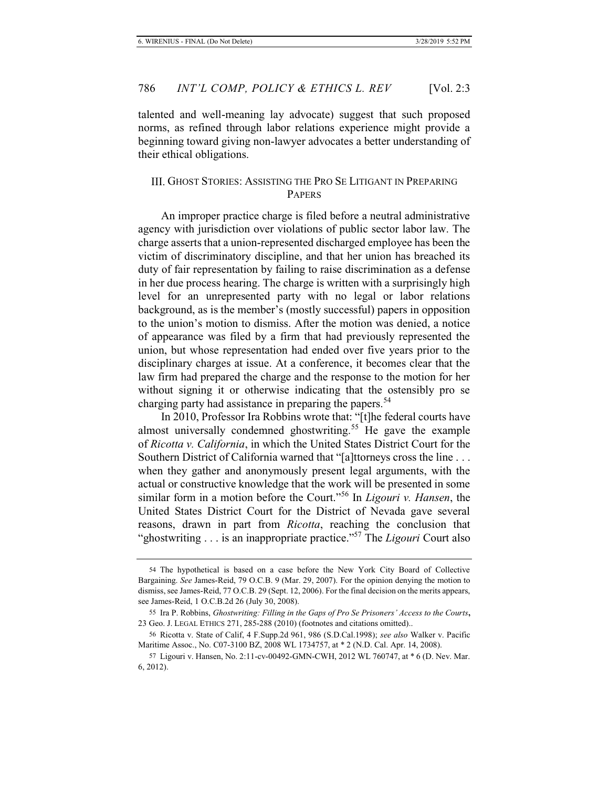talented and well-meaning lay advocate) suggest that such proposed norms, as refined through labor relations experience might provide a beginning toward giving non-lawyer advocates a better understanding of their ethical obligations.

### III. GHOST STORIES: ASSISTING THE PRO SE LITIGANT IN PREPARING PAPERS

An improper practice charge is filed before a neutral administrative agency with jurisdiction over violations of public sector labor law. The charge asserts that a union-represented discharged employee has been the victim of discriminatory discipline, and that her union has breached its duty of fair representation by failing to raise discrimination as a defense in her due process hearing. The charge is written with a surprisingly high level for an unrepresented party with no legal or labor relations background, as is the member's (mostly successful) papers in opposition to the union's motion to dismiss. After the motion was denied, a notice of appearance was filed by a firm that had previously represented the union, but whose representation had ended over five years prior to the disciplinary charges at issue. At a conference, it becomes clear that the law firm had prepared the charge and the response to the motion for her without signing it or otherwise indicating that the ostensibly pro se charging party had assistance in preparing the papers.<sup>54</sup>

In 2010, Professor Ira Robbins wrote that: "[t]he federal courts have almost universally condemned ghostwriting.<sup>55</sup> He gave the example of *Ricotta v. California*, in which the United States District Court for the Southern District of California warned that "[a]ttorneys cross the line . . . when they gather and anonymously present legal arguments, with the actual or constructive knowledge that the work will be presented in some similar form in a motion before the Court."56 In *Ligouri v. Hansen*, the United States District Court for the District of Nevada gave several reasons, drawn in part from *Ricotta*, reaching the conclusion that "ghostwriting . . . is an inappropriate practice."57 The *Ligouri* Court also

<sup>54</sup> The hypothetical is based on a case before the New York City Board of Collective Bargaining. *See* James-Reid, 79 O.C.B. 9 (Mar. 29, 2007). For the opinion denying the motion to dismiss, see James-Reid, 77 O.C.B. 29 (Sept. 12, 2006). For the final decision on the merits appears, see James-Reid, 1 O.C.B.2d 26 (July 30, 2008).

<sup>55</sup> Ira P. Robbins, *Ghostwriting: Filling in the Gaps of Pro Se Prisoners' Access to the Courts***,**  23 Geo. J. LEGAL ETHICS 271, 285-288 (2010) (footnotes and citations omitted)..

<sup>56</sup> Ricotta v. State of Calif, 4 F.Supp.2d 961, 986 (S.D.Cal.1998); *see also* Walker v. Pacific Maritime Assoc., No. C07-3100 BZ, 2008 WL 1734757, at \* 2 (N.D. Cal. Apr. 14, 2008).

<sup>57</sup> Ligouri v. Hansen, No. 2:11-cv-00492-GMN-CWH, 2012 WL 760747, at \* 6 (D. Nev. Mar. 6, 2012).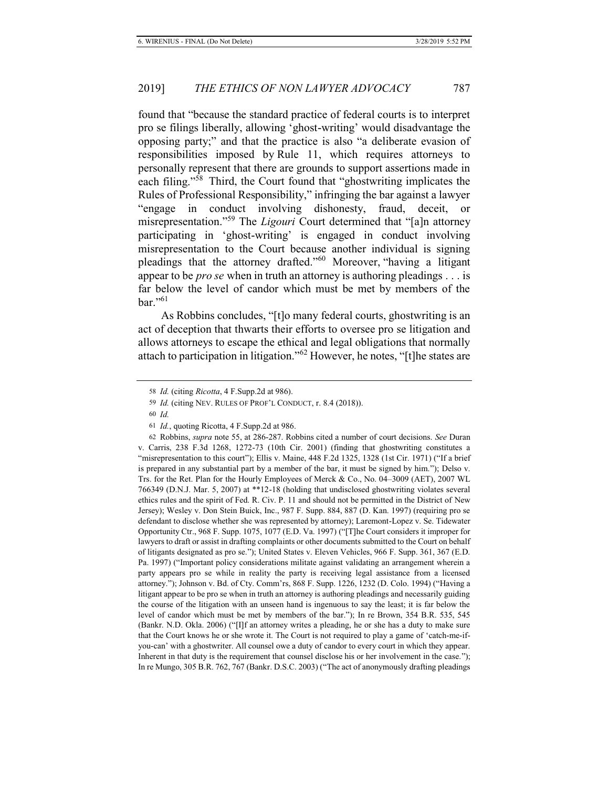found that "because the standard practice of federal courts is to interpret pro se filings liberally, allowing 'ghost-writing' would disadvantage the opposing party;" and that the practice is also "a deliberate evasion of responsibilities imposed by Rule 11, which requires attorneys to personally represent that there are grounds to support assertions made in each filing."58 Third, the Court found that "ghostwriting implicates the Rules of Professional Responsibility," infringing the bar against a lawyer "engage in conduct involving dishonesty, fraud, deceit, or misrepresentation."59 The *Ligouri* Court determined that "[a]n attorney participating in 'ghost-writing' is engaged in conduct involving misrepresentation to the Court because another individual is signing pleadings that the attorney drafted."60 Moreover, "having a litigant appear to be *pro se* when in truth an attorney is authoring pleadings . . . is far below the level of candor which must be met by members of the  $bar$ ."<sup>61</sup>

As Robbins concludes, "[t]o many federal courts, ghostwriting is an act of deception that thwarts their efforts to oversee pro se litigation and allows attorneys to escape the ethical and legal obligations that normally attach to participation in litigation."<sup>62</sup> However, he notes, "[t]he states are

<sup>58</sup> *Id.* (citing *Ricotta*, 4 F.Supp.2d at 986).

<sup>59</sup> *Id.* (citing NEV. RULES OF PROF'L CONDUCT, r. 8.4 (2018)).

<sup>60</sup> *Id.*

<sup>61</sup> *Id.*, quoting Ricotta, 4 F.Supp.2d at 986.

<sup>62</sup> Robbins, *supra* note 55, at 286-287. Robbins cited a number of court decisions. *See* Duran v. Carris, 238 F.3d 1268, 1272-73 (10th Cir. 2001) (finding that ghostwriting constitutes a "misrepresentation to this court"); Ellis v. Maine, 448 F.2d 1325, 1328 (1st Cir. 1971) ("If a brief is prepared in any substantial part by a member of the bar, it must be signed by him."); Delso v. Trs. for the Ret. Plan for the Hourly Employees of Merck & Co., No. 04–3009 (AET), 2007 WL 766349 (D.N.J. Mar. 5, 2007) at \*\*12-18 (holding that undisclosed ghostwriting violates several ethics rules and the spirit of Fed. R. Civ. P. 11 and should not be permitted in the District of New Jersey); Wesley v. Don Stein Buick, Inc., 987 F. Supp. 884, 887 (D. Kan. 1997) (requiring pro se defendant to disclose whether she was represented by attorney); Laremont-Lopez v. Se. Tidewater Opportunity Ctr., 968 F. Supp. 1075, 1077 (E.D. Va. 1997) ("[T]he Court considers it improper for lawyers to draft or assist in drafting complaints or other documents submitted to the Court on behalf of litigants designated as pro se."); United States v. Eleven Vehicles, 966 F. Supp. 361, 367 (E.D. Pa. 1997) ("Important policy considerations militate against validating an arrangement wherein a party appears pro se while in reality the party is receiving legal assistance from a licensed attorney."); Johnson v. Bd. of Cty. Comm'rs, 868 F. Supp. 1226, 1232 (D. Colo. 1994) ("Having a litigant appear to be pro se when in truth an attorney is authoring pleadings and necessarily guiding the course of the litigation with an unseen hand is ingenuous to say the least; it is far below the level of candor which must be met by members of the bar."); In re Brown, 354 B.R. 535, 545 (Bankr. N.D. Okla. 2006) ("[I]f an attorney writes a pleading, he or she has a duty to make sure that the Court knows he or she wrote it. The Court is not required to play a game of 'catch-me-ifyou-can' with a ghostwriter. All counsel owe a duty of candor to every court in which they appear. Inherent in that duty is the requirement that counsel disclose his or her involvement in the case."); In re Mungo, 305 B.R. 762, 767 (Bankr. D.S.C. 2003) ("The act of anonymously drafting pleadings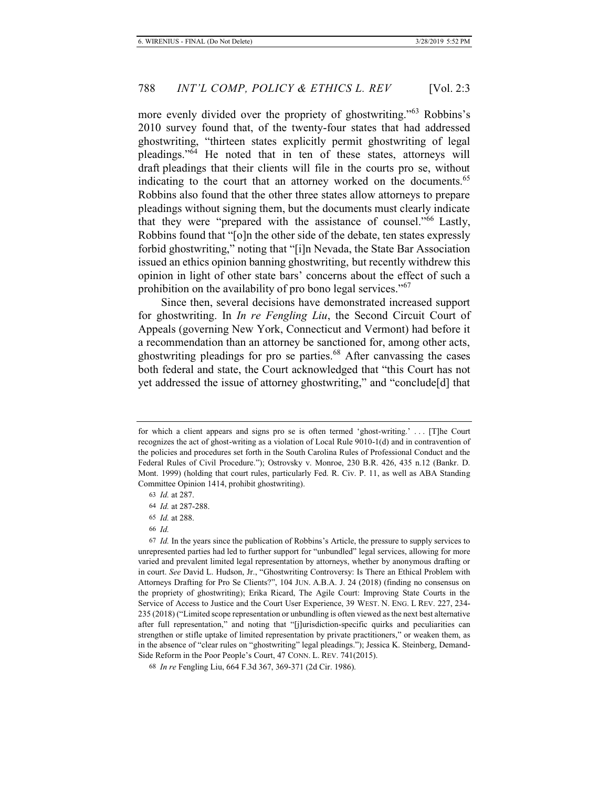more evenly divided over the propriety of ghostwriting."<sup>63</sup> Robbins's 2010 survey found that, of the twenty-four states that had addressed ghostwriting, "thirteen states explicitly permit ghostwriting of legal pleadings."64 He noted that in ten of these states, attorneys will draft pleadings that their clients will file in the courts pro se, without indicating to the court that an attorney worked on the documents.<sup>65</sup> Robbins also found that the other three states allow attorneys to prepare pleadings without signing them, but the documents must clearly indicate that they were "prepared with the assistance of counsel."66 Lastly, Robbins found that "[o]n the other side of the debate, ten states expressly forbid ghostwriting," noting that "[i]n Nevada, the State Bar Association issued an ethics opinion banning ghostwriting, but recently withdrew this opinion in light of other state bars' concerns about the effect of such a prohibition on the availability of pro bono legal services."<sup>67</sup>

Since then, several decisions have demonstrated increased support for ghostwriting. In *In re Fengling Liu*, the Second Circuit Court of Appeals (governing New York, Connecticut and Vermont) had before it a recommendation than an attorney be sanctioned for, among other acts, ghostwriting pleadings for pro se parties.<sup>68</sup> After canvassing the cases both federal and state, the Court acknowledged that "this Court has not yet addressed the issue of attorney ghostwriting," and "conclude[d] that

for which a client appears and signs pro se is often termed 'ghost-writing.' . . . [T]he Court recognizes the act of ghost-writing as a violation of Local Rule 9010-1(d) and in contravention of the policies and procedures set forth in the South Carolina Rules of Professional Conduct and the Federal Rules of Civil Procedure."); Ostrovsky v. Monroe, 230 B.R. 426, 435 n.12 (Bankr. D. Mont. 1999) (holding that court rules, particularly Fed. R. Civ. P. 11, as well as ABA Standing Committee Opinion 1414, prohibit ghostwriting).

<sup>63</sup> *Id.* at 287.

<sup>64</sup> *Id.* at 287-288.

<sup>65</sup> *Id.* at 288.

<sup>66</sup> *Id.*

<sup>67</sup> *Id.* In the years since the publication of Robbins's Article, the pressure to supply services to unrepresented parties had led to further support for "unbundled" legal services, allowing for more varied and prevalent limited legal representation by attorneys, whether by anonymous drafting or in court. *See* David L. Hudson, Jr., "Ghostwriting Controversy: Is There an Ethical Problem with Attorneys Drafting for Pro Se Clients?", 104 JUN. A.B.A. J. 24 (2018) (finding no consensus on the propriety of ghostwriting); Erika Ricard, The Agile Court: Improving State Courts in the Service of Access to Justice and the Court User Experience, 39 WEST. N. ENG. L REV. 227, 234- 235 (2018) ("Limited scope representation or unbundling is often viewed as the next best alternative after full representation," and noting that "[j]urisdiction-specific quirks and peculiarities can strengthen or stifle uptake of limited representation by private practitioners," or weaken them, as in the absence of "clear rules on "ghostwriting" legal pleadings."); Jessica K. Steinberg, Demand-Side Reform in the Poor People's Court, 47 CONN. L. REV. 741(2015).

<sup>68</sup> *In re* Fengling Liu, 664 F.3d 367, 369-371 (2d Cir. 1986).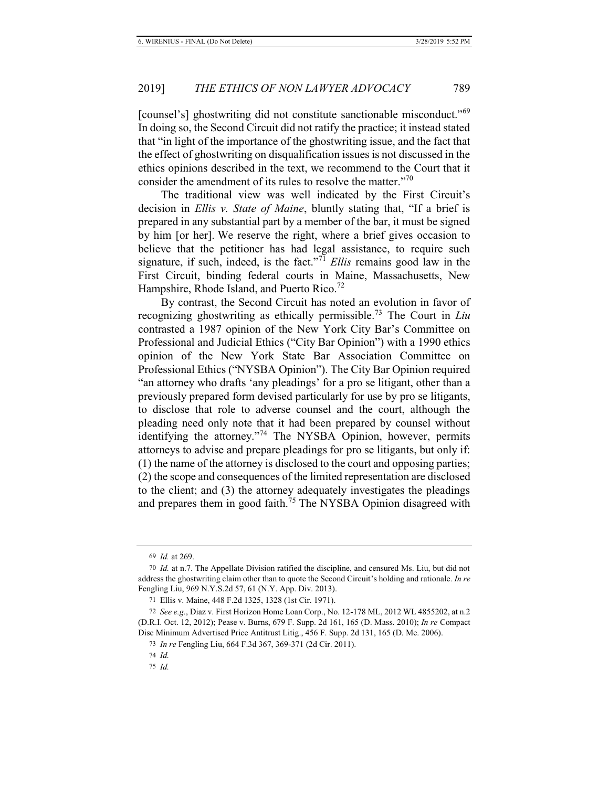[counsel's] ghostwriting did not constitute sanctionable misconduct."<sup>69</sup> In doing so, the Second Circuit did not ratify the practice; it instead stated that "in light of the importance of the ghostwriting issue, and the fact that the effect of ghostwriting on disqualification issues is not discussed in the ethics opinions described in the text, we recommend to the Court that it consider the amendment of its rules to resolve the matter."<sup>70</sup>

The traditional view was well indicated by the First Circuit's decision in *Ellis v. State of Maine*, bluntly stating that, "If a brief is prepared in any substantial part by a member of the bar, it must be signed by him [or her]. We reserve the right, where a brief gives occasion to believe that the petitioner has had legal assistance, to require such signature, if such, indeed, is the fact."<sup>71</sup> *Ellis* remains good law in the First Circuit, binding federal courts in Maine, Massachusetts, New Hampshire, Rhode Island, and Puerto Rico.<sup>72</sup>

By contrast, the Second Circuit has noted an evolution in favor of recognizing ghostwriting as ethically permissible.73 The Court in *Liu* contrasted a 1987 opinion of the New York City Bar's Committee on Professional and Judicial Ethics ("City Bar Opinion") with a 1990 ethics opinion of the New York State Bar Association Committee on Professional Ethics ("NYSBA Opinion"). The City Bar Opinion required "an attorney who drafts 'any pleadings' for a pro se litigant, other than a previously prepared form devised particularly for use by pro se litigants, to disclose that role to adverse counsel and the court, although the pleading need only note that it had been prepared by counsel without identifying the attorney."<sup>74</sup> The NYSBA Opinion, however, permits attorneys to advise and prepare pleadings for pro se litigants, but only if: (1) the name of the attorney is disclosed to the court and opposing parties; (2) the scope and consequences of the limited representation are disclosed to the client; and (3) the attorney adequately investigates the pleadings and prepares them in good faith.<sup>75</sup> The NYSBA Opinion disagreed with

<sup>69</sup> *Id.* at 269.

<sup>70</sup> *Id.* at n.7. The Appellate Division ratified the discipline, and censured Ms. Liu, but did not address the ghostwriting claim other than to quote the Second Circuit's holding and rationale. *In re* Fengling Liu, 969 N.Y.S.2d 57, 61 (N.Y. App. Div. 2013).

<sup>71</sup> Ellis v. Maine, 448 F.2d 1325, 1328 (1st Cir. 1971).

<sup>72</sup> *See e.g.*, Diaz v. First Horizon Home Loan Corp., No. 12-178 ML, 2012 WL 4855202, at n.2 (D.R.I. Oct. 12, 2012); Pease v. Burns, 679 F. Supp. 2d 161, 165 (D. Mass. 2010); *In re* Compact Disc Minimum Advertised Price Antitrust Litig., 456 F. Supp. 2d 131, 165 (D. Me. 2006).

<sup>73</sup> *In re* Fengling Liu, 664 F.3d 367, 369-371 (2d Cir. 2011).

<sup>74</sup> *Id.*

<sup>75</sup> *Id.*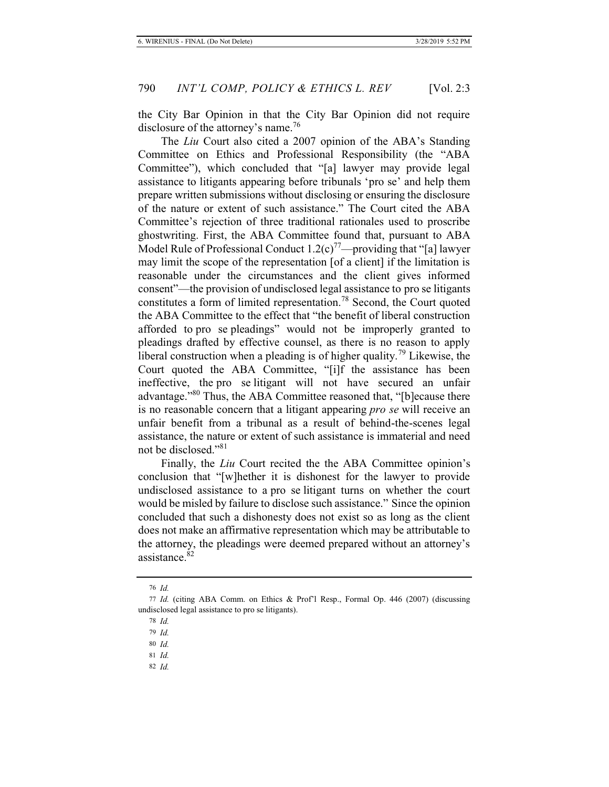the City Bar Opinion in that the City Bar Opinion did not require disclosure of the attorney's name.<sup>76</sup>

The *Liu* Court also cited a 2007 opinion of the ABA's Standing Committee on Ethics and Professional Responsibility (the "ABA Committee"), which concluded that "[a] lawyer may provide legal assistance to litigants appearing before tribunals 'pro se' and help them prepare written submissions without disclosing or ensuring the disclosure of the nature or extent of such assistance." The Court cited the ABA Committee's rejection of three traditional rationales used to proscribe ghostwriting. First, the ABA Committee found that, pursuant to ABA Model Rule of Professional Conduct  $1.2(c)^{77}$ —providing that "[a] lawyer may limit the scope of the representation [of a client] if the limitation is reasonable under the circumstances and the client gives informed consent"—the provision of undisclosed legal assistance to pro se litigants constitutes a form of limited representation.<sup>78</sup> Second, the Court quoted the ABA Committee to the effect that "the benefit of liberal construction afforded to pro se pleadings" would not be improperly granted to pleadings drafted by effective counsel, as there is no reason to apply liberal construction when a pleading is of higher quality.<sup>79</sup> Likewise, the Court quoted the ABA Committee, "[i]f the assistance has been ineffective, the pro se litigant will not have secured an unfair advantage."<sup>80</sup> Thus, the ABA Committee reasoned that, "[b]ecause there is no reasonable concern that a litigant appearing *pro se* will receive an unfair benefit from a tribunal as a result of behind-the-scenes legal assistance, the nature or extent of such assistance is immaterial and need not be disclosed."<sup>81</sup>

Finally, the *Liu* Court recited the the ABA Committee opinion's conclusion that "[w]hether it is dishonest for the lawyer to provide undisclosed assistance to a pro se litigant turns on whether the court would be misled by failure to disclose such assistance." Since the opinion concluded that such a dishonesty does not exist so as long as the client does not make an affirmative representation which may be attributable to the attorney, the pleadings were deemed prepared without an attorney's assistance.<sup>82</sup>

<sup>76</sup> *Id.*

<sup>77</sup> *Id.* (citing ABA Comm. on Ethics & Prof'l Resp., Formal Op. 446 (2007) (discussing undisclosed legal assistance to pro se litigants).

<sup>78</sup> *Id.*

<sup>79</sup> *Id.*

<sup>80</sup> *Id.*

<sup>81</sup> *Id.*

<sup>82</sup> *Id.*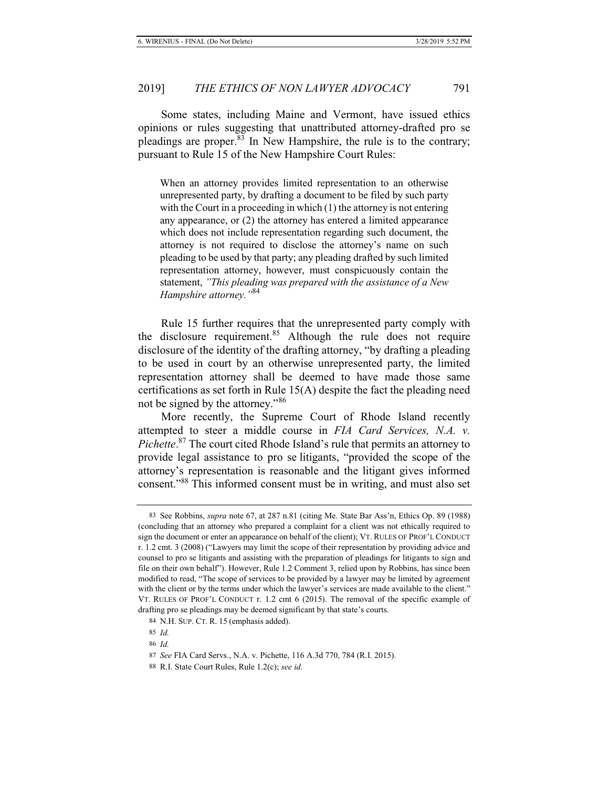Some states, including Maine and Vermont, have issued ethics opinions or rules suggesting that unattributed attorney-drafted pro se pleadings are proper.<sup>83</sup> In New Hampshire, the rule is to the contrary; pursuant to Rule 15 of the New Hampshire Court Rules:

When an attorney provides limited representation to an otherwise unrepresented party, by drafting a document to be filed by such party with the Court in a proceeding in which (1) the attorney is not entering any appearance, or (2) the attorney has entered a limited appearance which does not include representation regarding such document, the attorney is not required to disclose the attorney's name on such pleading to be used by that party; any pleading drafted by such limited representation attorney, however, must conspicuously contain the statement, *"This pleading was prepared with the assistance of a New Hampshire attorney."*84

Rule 15 further requires that the unrepresented party comply with the disclosure requirement.<sup>85</sup> Although the rule does not require disclosure of the identity of the drafting attorney, "by drafting a pleading to be used in court by an otherwise unrepresented party, the limited representation attorney shall be deemed to have made those same certifications as set forth in Rule 15(A) despite the fact the pleading need not be signed by the attorney."<sup>86</sup>

More recently, the Supreme Court of Rhode Island recently attempted to steer a middle course in *FIA Card Services, N.A. v. Pichette*. <sup>87</sup> The court cited Rhode Island's rule that permits an attorney to provide legal assistance to pro se litigants, "provided the scope of the attorney's representation is reasonable and the litigant gives informed consent."88 This informed consent must be in writing, and must also set

<sup>83</sup> See Robbins, *supra* note 67, at 287 n.81 (citing Me. State Bar Ass'n, Ethics Op. 89 (1988) (concluding that an attorney who prepared a complaint for a client was not ethically required to sign the document or enter an appearance on behalf of the client); VT. RULES OF PROF'L CONDUCT r. 1.2 cmt. 3 (2008) ("Lawyers may limit the scope of their representation by providing advice and counsel to pro se litigants and assisting with the preparation of pleadings for litigants to sign and file on their own behalf"). However, Rule 1.2 Comment 3, relied upon by Robbins, has since been modified to read, "The scope of services to be provided by a lawyer may be limited by agreement with the client or by the terms under which the lawyer's services are made available to the client." VT. RULES OF PROF'L CONDUCT r. 1.2 cmt 6 (2015). The removal of the specific example of drafting pro se pleadings may be deemed significant by that state's courts.

<sup>84</sup> N.H. SUP. CT. R. 15 (emphasis added).

<sup>85</sup> *Id.*

<sup>86</sup> *Id.*

<sup>87</sup> *See* FIA Card Servs., N.A. v. Pichette, 116 A.3d 770, 784 (R.I. 2015).

<sup>88</sup> R.I. State Court Rules, Rule 1.2(c); *see id.*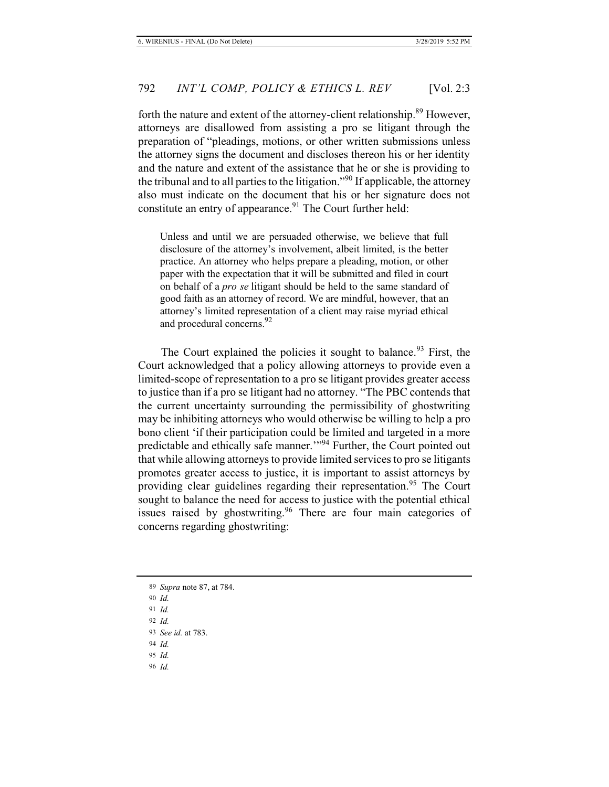forth the nature and extent of the attorney-client relationship.<sup>89</sup> However, attorneys are disallowed from assisting a pro se litigant through the preparation of "pleadings, motions, or other written submissions unless the attorney signs the document and discloses thereon his or her identity and the nature and extent of the assistance that he or she is providing to the tribunal and to all parties to the litigation."90 If applicable, the attorney also must indicate on the document that his or her signature does not constitute an entry of appearance.<sup>91</sup> The Court further held:

Unless and until we are persuaded otherwise, we believe that full disclosure of the attorney's involvement, albeit limited, is the better practice. An attorney who helps prepare a pleading, motion, or other paper with the expectation that it will be submitted and filed in court on behalf of a *pro se* litigant should be held to the same standard of good faith as an attorney of record. We are mindful, however, that an attorney's limited representation of a client may raise myriad ethical and procedural concerns.<sup>92</sup>

The Court explained the policies it sought to balance.<sup>93</sup> First, the Court acknowledged that a policy allowing attorneys to provide even a limited-scope of representation to a pro se litigant provides greater access to justice than if a pro se litigant had no attorney. "The PBC contends that the current uncertainty surrounding the permissibility of ghostwriting may be inhibiting attorneys who would otherwise be willing to help a pro bono client 'if their participation could be limited and targeted in a more predictable and ethically safe manner."<sup>94</sup> Further, the Court pointed out that while allowing attorneys to provide limited services to pro se litigants promotes greater access to justice, it is important to assist attorneys by providing clear guidelines regarding their representation.<sup>95</sup> The Court sought to balance the need for access to justice with the potential ethical issues raised by ghostwriting.<sup>96</sup> There are four main categories of concerns regarding ghostwriting:

- 89 *Supra* note 87, at 784.
- 90 *Id.*
- 91 *Id.*
- 92 *Id.*
- 93 *See id.* at 783.
- 94 *Id.*
- 95 *Id.*
- 96 *Id.*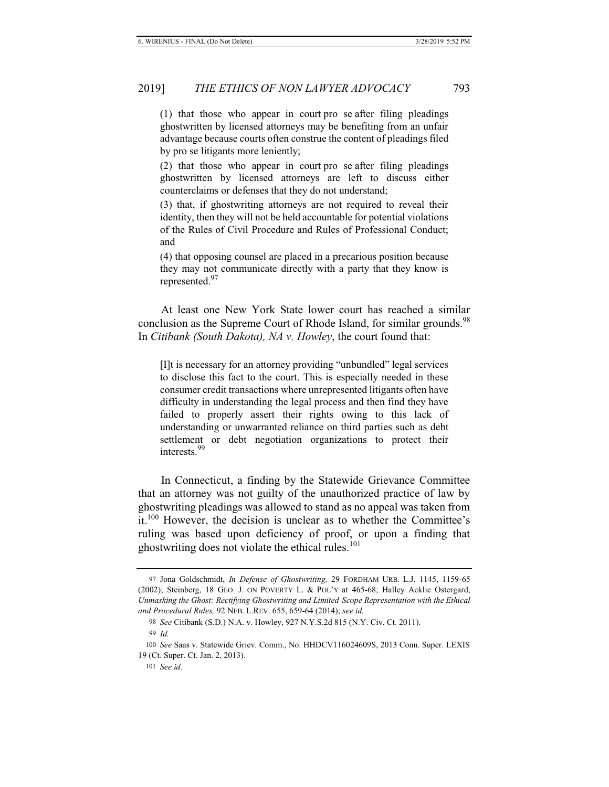(1) that those who appear in court pro se after filing pleadings ghostwritten by licensed attorneys may be benefiting from an unfair advantage because courts often construe the content of pleadings filed by pro se litigants more leniently;

(2) that those who appear in court pro se after filing pleadings ghostwritten by licensed attorneys are left to discuss either counterclaims or defenses that they do not understand;

(3) that, if ghostwriting attorneys are not required to reveal their identity, then they will not be held accountable for potential violations of the Rules of Civil Procedure and Rules of Professional Conduct; and

(4) that opposing counsel are placed in a precarious position because they may not communicate directly with a party that they know is represented.<sup>97</sup>

At least one New York State lower court has reached a similar conclusion as the Supreme Court of Rhode Island, for similar grounds.<sup>98</sup> In *Citibank (South Dakota), NA v. Howley*, the court found that:

[I]t is necessary for an attorney providing "unbundled" legal services to disclose this fact to the court. This is especially needed in these consumer credit transactions where unrepresented litigants often have difficulty in understanding the legal process and then find they have failed to properly assert their rights owing to this lack of understanding or unwarranted reliance on third parties such as debt settlement or debt negotiation organizations to protect their interests.99

In Connecticut, a finding by the Statewide Grievance Committee that an attorney was not guilty of the unauthorized practice of law by ghostwriting pleadings was allowed to stand as no appeal was taken from it. $100$  However, the decision is unclear as to whether the Committee's ruling was based upon deficiency of proof, or upon a finding that ghostwriting does not violate the ethical rules. $101$ 

<sup>97</sup> Jona Goldschmidt, *In Defense of Ghostwriting,* 29 FORDHAM URB. L.J. 1145, 1159-65 (2002); Steinberg, 18 GEO. J. ON POVERTY L. & POL'Y at 465-68; Halley Acklie Ostergard, *Unmasking the Ghost: Rectifying Ghostwriting and Limited-Scope Representation with the Ethical and Procedural Rules,* 92 NEB. L.REV. 655, 659-64 (2014); *see id.*

<sup>98</sup> *See* Citibank (S.D.) N.A. v. Howley, 927 N.Y.S.2d 815 (N.Y. Civ. Ct. 2011).

<sup>99</sup> *Id.*

<sup>100</sup> *See* Saas v. Statewide Griev. Comm., No. HHDCV116024609S, 2013 Conn. Super. LEXIS 19 (Ct. Super. Ct. Jan. 2, 2013).

<sup>101</sup> *See id.*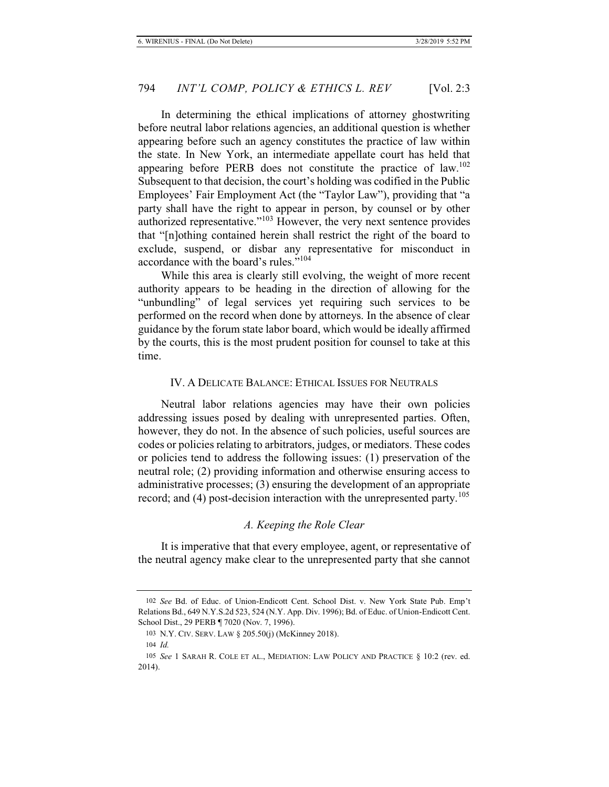In determining the ethical implications of attorney ghostwriting before neutral labor relations agencies, an additional question is whether appearing before such an agency constitutes the practice of law within the state. In New York, an intermediate appellate court has held that appearing before PERB does not constitute the practice of law.<sup>102</sup> Subsequent to that decision, the court's holding was codified in the Public Employees' Fair Employment Act (the "Taylor Law"), providing that "a party shall have the right to appear in person, by counsel or by other authorized representative."103 However, the very next sentence provides that "[n]othing contained herein shall restrict the right of the board to exclude, suspend, or disbar any representative for misconduct in accordance with the board's rules."<sup>104</sup>

While this area is clearly still evolving, the weight of more recent authority appears to be heading in the direction of allowing for the "unbundling" of legal services yet requiring such services to be performed on the record when done by attorneys. In the absence of clear guidance by the forum state labor board, which would be ideally affirmed by the courts, this is the most prudent position for counsel to take at this time.

#### IV. A DELICATE BALANCE: ETHICAL ISSUES FOR NEUTRALS

Neutral labor relations agencies may have their own policies addressing issues posed by dealing with unrepresented parties. Often, however, they do not. In the absence of such policies, useful sources are codes or policies relating to arbitrators, judges, or mediators. These codes or policies tend to address the following issues: (1) preservation of the neutral role; (2) providing information and otherwise ensuring access to administrative processes; (3) ensuring the development of an appropriate record; and  $(4)$  post-decision interaction with the unrepresented party.<sup>105</sup>

#### *A. Keeping the Role Clear*

It is imperative that that every employee, agent, or representative of the neutral agency make clear to the unrepresented party that she cannot

<sup>102</sup> *See* Bd. of Educ. of Union-Endicott Cent. School Dist. v. New York State Pub. Emp't Relations Bd., 649 N.Y.S.2d 523, 524 (N.Y. App. Div. 1996); Bd. of Educ. of Union-Endicott Cent. School Dist., 29 PERB ¶ 7020 (Nov. 7, 1996).

<sup>103</sup> N.Y. CIV. SERV. LAW § 205.50(j) (McKinney 2018).

<sup>104</sup> *Id.*

<sup>105</sup> *See* 1 SARAH R. COLE ET AL., MEDIATION: LAW POLICY AND PRACTICE § 10:2 (rev. ed. 2014).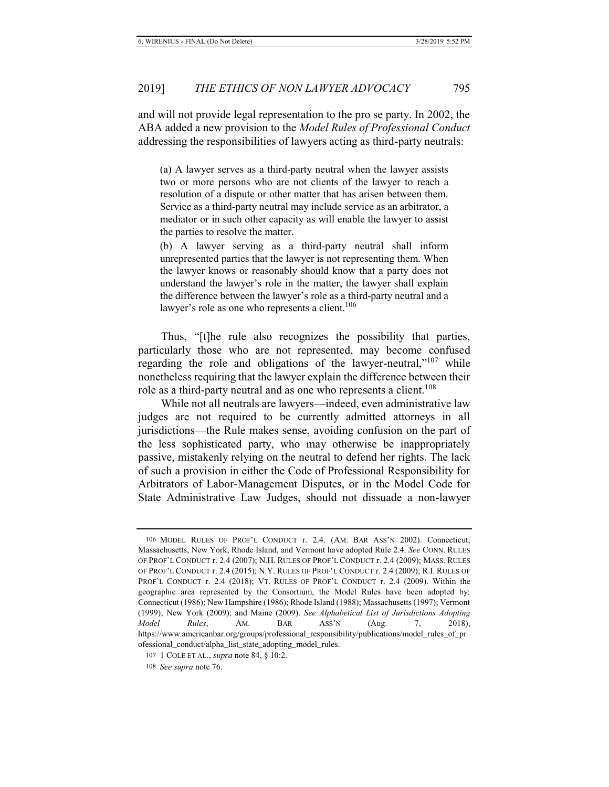and will not provide legal representation to the pro se party. In 2002, the ABA added a new provision to the *Model Rules of Professional Conduct* addressing the responsibilities of lawyers acting as third-party neutrals:

(a) A lawyer serves as a third-party neutral when the lawyer assists two or more persons who are not clients of the lawyer to reach a resolution of a dispute or other matter that has arisen between them. Service as a third-party neutral may include service as an arbitrator, a mediator or in such other capacity as will enable the lawyer to assist the parties to resolve the matter.

(b) A lawyer serving as a third-party neutral shall inform unrepresented parties that the lawyer is not representing them. When the lawyer knows or reasonably should know that a party does not understand the lawyer's role in the matter, the lawyer shall explain the difference between the lawyer's role as a third-party neutral and a lawyer's role as one who represents a client.<sup>106</sup>

Thus, "[t]he rule also recognizes the possibility that parties, particularly those who are not represented, may become confused regarding the role and obligations of the lawyer-neutral,"<sup>107</sup> while nonetheless requiring that the lawyer explain the difference between their role as a third-party neutral and as one who represents a client.<sup>108</sup>

While not all neutrals are lawyers—indeed, even administrative law judges are not required to be currently admitted attorneys in all jurisdictions—the Rule makes sense, avoiding confusion on the part of the less sophisticated party, who may otherwise be inappropriately passive, mistakenly relying on the neutral to defend her rights. The lack of such a provision in either the Code of Professional Responsibility for Arbitrators of Labor-Management Disputes, or in the Model Code for State Administrative Law Judges, should not dissuade a non-lawyer

<sup>106</sup> MODEL RULES OF PROF'L CONDUCT r. 2.4. (AM. BAR ASS'N 2002). Connecticut, Massachusetts, New York, Rhode Island, and Vermont have adopted Rule 2.4. *See* CONN. RULES OF PROF'L CONDUCT r. 2.4 (2007); N.H. RULES OF PROF'L CONDUCT r. 2.4 (2009); MASS. RULES OF PROF'L CONDUCT r. 2.4 (2015); N.Y. RULES OF PROF'L CONDUCT r. 2.4 (2009); R.I. RULES OF PROF'L CONDUCT r. 2.4 (2018); VT. RULES OF PROF'L CONDUCT r. 2.4 (2009). Within the geographic area represented by the Consortium, the Model Rules have been adopted by: Connecticut (1986); New Hampshire (1986); Rhode Island (1988); Massachusetts (1997); Vermont (1999); New York (2009); and Maine (2009). *See Alphabetical List of Jurisdictions Adopting Model Rules*, AM. BAR ASS'N (Aug. 7, 2018), https://www.americanbar.org/groups/professional\_responsibility/publications/model\_rules\_of\_pr ofessional\_conduct/alpha\_list\_state\_adopting\_model\_rules.

<sup>107 1</sup> COLE ET AL., *supra* note 84, § 10:2.

<sup>108</sup> *See supra* note 76.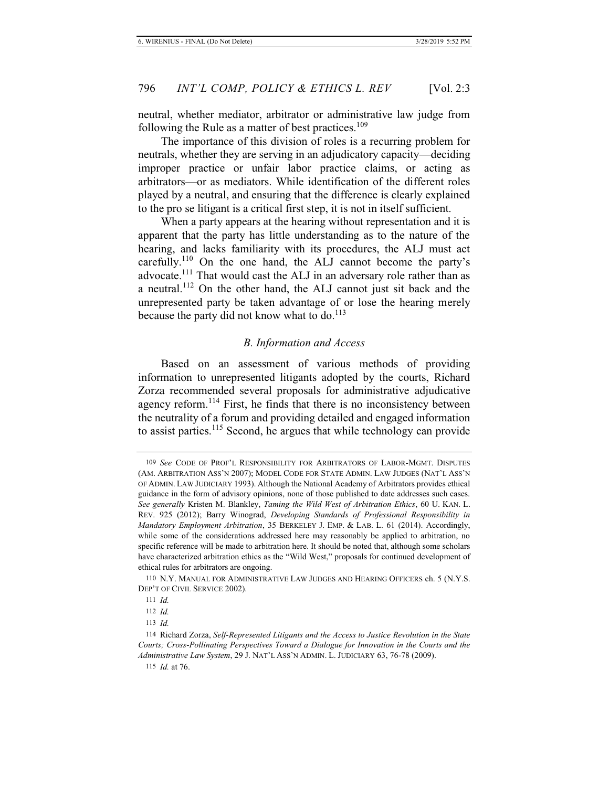neutral, whether mediator, arbitrator or administrative law judge from following the Rule as a matter of best practices.<sup>109</sup>

The importance of this division of roles is a recurring problem for neutrals, whether they are serving in an adjudicatory capacity—deciding improper practice or unfair labor practice claims, or acting as arbitrators—or as mediators. While identification of the different roles played by a neutral, and ensuring that the difference is clearly explained to the pro se litigant is a critical first step, it is not in itself sufficient.

When a party appears at the hearing without representation and it is apparent that the party has little understanding as to the nature of the hearing, and lacks familiarity with its procedures, the ALJ must act carefully.<sup>110</sup> On the one hand, the ALJ cannot become the party's advocate.<sup>111</sup> That would cast the ALJ in an adversary role rather than as a neutral.112 On the other hand, the ALJ cannot just sit back and the unrepresented party be taken advantage of or lose the hearing merely because the party did not know what to do.<sup>113</sup>

#### *B. Information and Access*

Based on an assessment of various methods of providing information to unrepresented litigants adopted by the courts, Richard Zorza recommended several proposals for administrative adjudicative agency reform.<sup>114</sup> First, he finds that there is no inconsistency between the neutrality of a forum and providing detailed and engaged information to assist parties.<sup>115</sup> Second, he argues that while technology can provide

<sup>109</sup> *See* CODE OF PROF'L RESPONSIBILITY FOR ARBITRATORS OF LABOR-MGMT. DISPUTES (AM. ARBITRATION ASS'N 2007); MODEL CODE FOR STATE ADMIN. LAW JUDGES (NAT'L ASS'N OF ADMIN. LAW JUDICIARY 1993). Although the National Academy of Arbitrators provides ethical guidance in the form of advisory opinions, none of those published to date addresses such cases. *See generally* Kristen M. Blankley, *Taming the Wild West of Arbitration Ethics*, 60 U. KAN. L. REV. 925 (2012); Barry Winograd, *Developing Standards of Professional Responsibility in Mandatory Employment Arbitration*, 35 BERKELEY J. EMP. & LAB. L. 61 (2014). Accordingly, while some of the considerations addressed here may reasonably be applied to arbitration, no specific reference will be made to arbitration here. It should be noted that, although some scholars have characterized arbitration ethics as the "Wild West," proposals for continued development of ethical rules for arbitrators are ongoing.

<sup>110</sup> N.Y. MANUAL FOR ADMINISTRATIVE LAW JUDGES AND HEARING OFFICERS ch. 5 (N.Y.S. DEP'T OF CIVIL SERVICE 2002).

<sup>111</sup> *Id.*

<sup>112</sup> *Id.*

<sup>113</sup> *Id.*

<sup>114</sup> Richard Zorza, *Self-Represented Litigants and the Access to Justice Revolution in the State Courts; Cross-Pollinating Perspectives Toward a Dialogue for Innovation in the Courts and the Administrative Law System*, 29 J. NAT'L ASS'N ADMIN. L. JUDICIARY 63, 76-78 (2009).

<sup>115</sup> *Id.* at 76.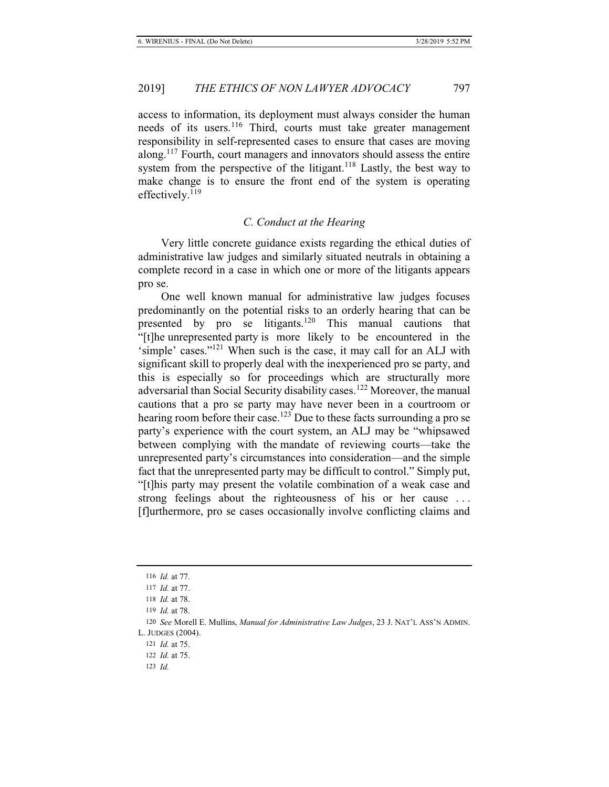access to information, its deployment must always consider the human needs of its users.<sup>116</sup> Third, courts must take greater management responsibility in self-represented cases to ensure that cases are moving along.<sup>117</sup> Fourth, court managers and innovators should assess the entire system from the perspective of the litigant.<sup>118</sup> Lastly, the best way to make change is to ensure the front end of the system is operating effectively. $^{119}$ 

#### *C. Conduct at the Hearing*

Very little concrete guidance exists regarding the ethical duties of administrative law judges and similarly situated neutrals in obtaining a complete record in a case in which one or more of the litigants appears pro se.

One well known manual for administrative law judges focuses predominantly on the potential risks to an orderly hearing that can be presented by pro se litigants.<sup>120</sup> This manual cautions that "[t]he unrepresented party is more likely to be encountered in the 'simple' cases."<sup>121</sup> When such is the case, it may call for an ALJ with significant skill to properly deal with the inexperienced pro se party, and this is especially so for proceedings which are structurally more adversarial than Social Security disability cases.<sup>122</sup> Moreover, the manual cautions that a pro se party may have never been in a courtroom or hearing room before their case.<sup>123</sup> Due to these facts surrounding a pro se party's experience with the court system, an ALJ may be "whipsawed between complying with the mandate of reviewing courts—take the unrepresented party's circumstances into consideration—and the simple fact that the unrepresented party may be difficult to control." Simply put, "[t]his party may present the volatile combination of a weak case and strong feelings about the righteousness of his or her cause . . . [f]urthermore, pro se cases occasionally involve conflicting claims and

<sup>116</sup> *Id.* at 77.

<sup>117</sup> *Id.* at 77.

<sup>118</sup> *Id.* at 78.

<sup>119</sup> *Id.* at 78.

<sup>120</sup> *See* Morell E. Mullins, *Manual for Administrative Law Judges*, 23 J. NAT'L ASS'N ADMIN.

L. JUDGES (2004).

<sup>121</sup> *Id.* at 75.

<sup>122</sup> *Id.* at 75.

<sup>123</sup> *Id.*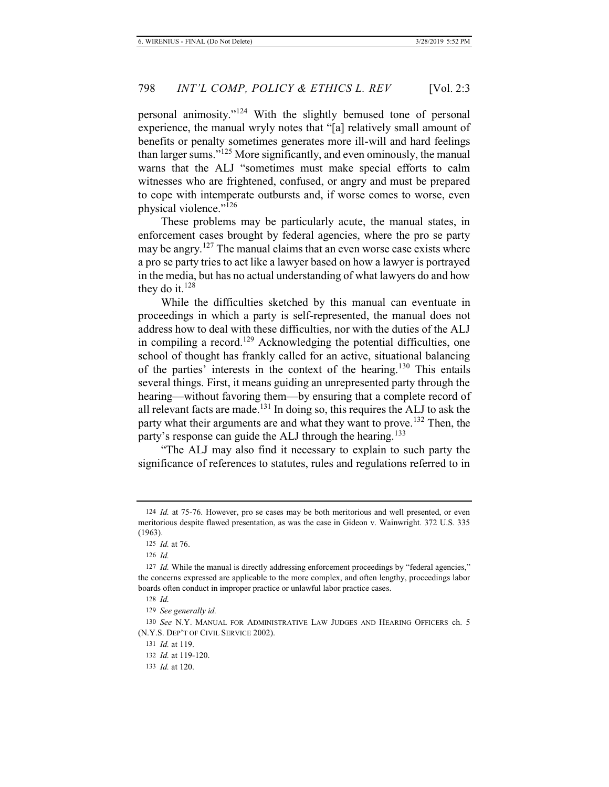personal animosity."124 With the slightly bemused tone of personal experience, the manual wryly notes that "[a] relatively small amount of benefits or penalty sometimes generates more ill-will and hard feelings than larger sums."125 More significantly, and even ominously, the manual warns that the ALJ "sometimes must make special efforts to calm witnesses who are frightened, confused, or angry and must be prepared to cope with intemperate outbursts and, if worse comes to worse, even physical violence."<sup>126</sup>

These problems may be particularly acute, the manual states, in enforcement cases brought by federal agencies, where the pro se party may be angry.<sup>127</sup> The manual claims that an even worse case exists where a pro se party tries to act like a lawyer based on how a lawyer is portrayed in the media, but has no actual understanding of what lawyers do and how they do it. $128$ 

While the difficulties sketched by this manual can eventuate in proceedings in which a party is self-represented, the manual does not address how to deal with these difficulties, nor with the duties of the ALJ in compiling a record.<sup>129</sup> Acknowledging the potential difficulties, one school of thought has frankly called for an active, situational balancing of the parties' interests in the context of the hearing.130 This entails several things. First, it means guiding an unrepresented party through the hearing—without favoring them—by ensuring that a complete record of all relevant facts are made.131 In doing so, this requires the ALJ to ask the party what their arguments are and what they want to prove.<sup>132</sup> Then, the party's response can guide the ALJ through the hearing.<sup>133</sup>

"The ALJ may also find it necessary to explain to such party the significance of references to statutes, rules and regulations referred to in

<sup>124</sup> *Id.* at 75-76. However, pro se cases may be both meritorious and well presented, or even meritorious despite flawed presentation, as was the case in Gideon v. Wainwright. 372 U.S. 335 (1963).

<sup>125</sup> *Id.* at 76.

<sup>126</sup> *Id.*

<sup>127</sup> *Id.* While the manual is directly addressing enforcement proceedings by "federal agencies," the concerns expressed are applicable to the more complex, and often lengthy, proceedings labor boards often conduct in improper practice or unlawful labor practice cases.

<sup>128</sup> *Id.*

<sup>129</sup> *See generally id.*

<sup>130</sup> *See* N.Y. MANUAL FOR ADMINISTRATIVE LAW JUDGES AND HEARING OFFICERS ch. 5 (N.Y.S. DEP'T OF CIVIL SERVICE 2002).

<sup>131</sup> *Id.* at 119.

<sup>132</sup> *Id.* at 119-120.

<sup>133</sup> *Id.* at 120.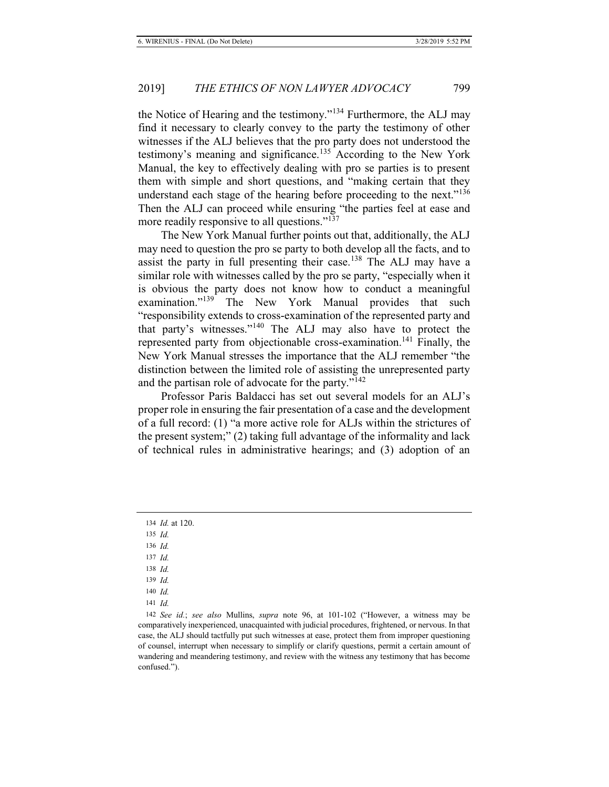the Notice of Hearing and the testimony."134 Furthermore, the ALJ may find it necessary to clearly convey to the party the testimony of other witnesses if the ALJ believes that the pro party does not understood the testimony's meaning and significance.<sup>135</sup> According to the New York Manual, the key to effectively dealing with pro se parties is to present them with simple and short questions, and "making certain that they understand each stage of the hearing before proceeding to the next."<sup>136</sup> Then the ALJ can proceed while ensuring "the parties feel at ease and more readily responsive to all questions."<sup>137</sup>

The New York Manual further points out that, additionally, the ALJ may need to question the pro se party to both develop all the facts, and to assist the party in full presenting their case.<sup>138</sup> The ALJ may have a similar role with witnesses called by the pro se party, "especially when it is obvious the party does not know how to conduct a meaningful examination."<sup>139</sup> The New York Manual provides that such "responsibility extends to cross-examination of the represented party and that party's witnesses."140 The ALJ may also have to protect the represented party from objectionable cross-examination.<sup>141</sup> Finally, the New York Manual stresses the importance that the ALJ remember "the distinction between the limited role of assisting the unrepresented party and the partisan role of advocate for the party."<sup>142</sup>

Professor Paris Baldacci has set out several models for an ALJ's proper role in ensuring the fair presentation of a case and the development of a full record: (1) "a more active role for ALJs within the strictures of the present system;" (2) taking full advantage of the informality and lack of technical rules in administrative hearings; and (3) adoption of an

140 *Id.*

<sup>134</sup> *Id.* at 120.

<sup>135</sup> *Id.*

<sup>136</sup> *Id.*

<sup>137</sup> *Id.* 138 *Id.*

<sup>139</sup> *Id.*

<sup>141</sup> *Id.*

<sup>142</sup> *See id.*; *see also* Mullins, *supra* note 96, at 101-102 ("However, a witness may be comparatively inexperienced, unacquainted with judicial procedures, frightened, or nervous. In that case, the ALJ should tactfully put such witnesses at ease, protect them from improper questioning of counsel, interrupt when necessary to simplify or clarify questions, permit a certain amount of wandering and meandering testimony, and review with the witness any testimony that has become confused.").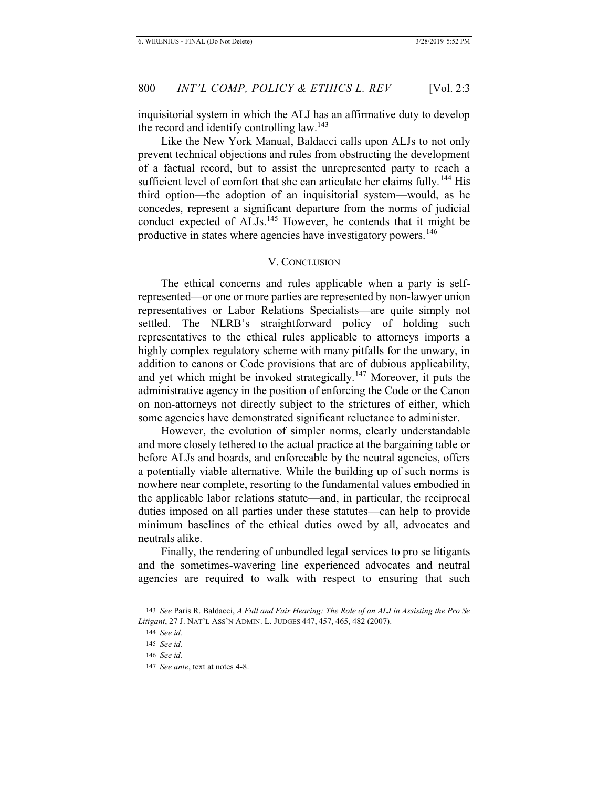inquisitorial system in which the ALJ has an affirmative duty to develop the record and identify controlling law.<sup>143</sup>

Like the New York Manual, Baldacci calls upon ALJs to not only prevent technical objections and rules from obstructing the development of a factual record, but to assist the unrepresented party to reach a sufficient level of comfort that she can articulate her claims fully.<sup>144</sup> His third option—the adoption of an inquisitorial system—would, as he concedes, represent a significant departure from the norms of judicial conduct expected of ALJs.<sup>145</sup> However, he contends that it might be productive in states where agencies have investigatory powers.<sup>146</sup>

#### V. CONCLUSION

The ethical concerns and rules applicable when a party is selfrepresented—or one or more parties are represented by non-lawyer union representatives or Labor Relations Specialists—are quite simply not settled. The NLRB's straightforward policy of holding such representatives to the ethical rules applicable to attorneys imports a highly complex regulatory scheme with many pitfalls for the unwary, in addition to canons or Code provisions that are of dubious applicability, and yet which might be invoked strategically.<sup>147</sup> Moreover, it puts the administrative agency in the position of enforcing the Code or the Canon on non-attorneys not directly subject to the strictures of either, which some agencies have demonstrated significant reluctance to administer.

However, the evolution of simpler norms, clearly understandable and more closely tethered to the actual practice at the bargaining table or before ALJs and boards, and enforceable by the neutral agencies, offers a potentially viable alternative. While the building up of such norms is nowhere near complete, resorting to the fundamental values embodied in the applicable labor relations statute—and, in particular, the reciprocal duties imposed on all parties under these statutes—can help to provide minimum baselines of the ethical duties owed by all, advocates and neutrals alike.

Finally, the rendering of unbundled legal services to pro se litigants and the sometimes-wavering line experienced advocates and neutral agencies are required to walk with respect to ensuring that such

<sup>143</sup> *See* Paris R. Baldacci, *A Full and Fair Hearing: The Role of an ALJ in Assisting the Pro Se Litigant*, 27 J. NAT'L ASS'N ADMIN. L. JUDGES 447, 457, 465, 482 (2007).

<sup>144</sup> *See id.*

<sup>145</sup> *See id.*

<sup>146</sup> *See id.*

<sup>147</sup> *See ante*, text at notes 4-8.